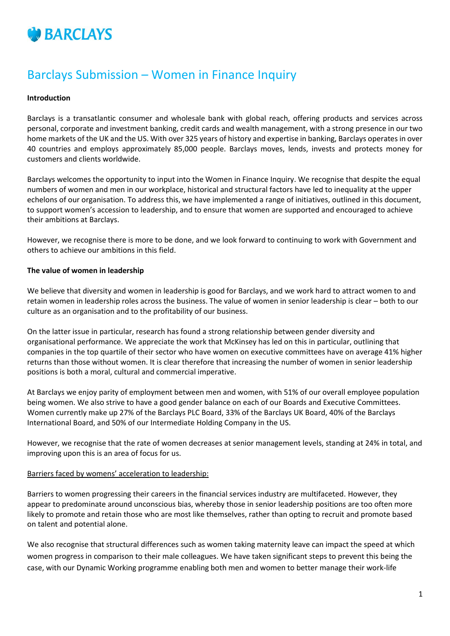

# Barclays Submission – Women in Finance Inquiry

### **Introduction**

Barclays is a transatlantic consumer and wholesale bank with global reach, offering products and services across personal, corporate and investment banking, credit cards and wealth management, with a strong presence in our two home markets of the UK and the US. With over 325 years of history and expertise in banking, Barclays operates in over 40 countries and employs approximately 85,000 people. Barclays moves, lends, invests and protects money for customers and clients worldwide.

Barclays welcomes the opportunity to input into the Women in Finance Inquiry. We recognise that despite the equal numbers of women and men in our workplace, historical and structural factors have led to inequality at the upper echelons of our organisation. To address this, we have implemented a range of initiatives, outlined in this document, to support women's accession to leadership, and to ensure that women are supported and encouraged to achieve their ambitions at Barclays.

However, we recognise there is more to be done, and we look forward to continuing to work with Government and others to achieve our ambitions in this field.

#### **The value of women in leadership**

We believe that diversity and women in leadership is good for Barclays, and we work hard to attract women to and retain women in leadership roles across the business. The value of women in senior leadership is clear – both to our culture as an organisation and to the profitability of our business.

On the latter issue in particular, research has found a strong relationship between gender diversity and organisational performance. We appreciate the work that McKinsey has led on this in particular, outlining that companies in the top quartile of their sector who have women on executive committees have on average 41% higher returns than those without women. It is clear therefore that increasing the number of women in senior leadership positions is both a moral, cultural and commercial imperative.

At Barclays we enjoy parity of employment between men and women, with 51% of our overall employee population being women. We also strive to have a good gender balance on each of our Boards and Executive Committees. Women currently make up 27% of the Barclays PLC Board, 33% of the Barclays UK Board, 40% of the Barclays International Board, and 50% of our Intermediate Holding Company in the US.

However, we recognise that the rate of women decreases at senior management levels, standing at 24% in total, and improving upon this is an area of focus for us.

#### Barriers faced by womens' acceleration to leadership:

Barriers to women progressing their careers in the financial services industry are multifaceted. However, they appear to predominate around unconscious bias, whereby those in senior leadership positions are too often more likely to promote and retain those who are most like themselves, rather than opting to recruit and promote based on talent and potential alone.

We also recognise that structural differences such as women taking maternity leave can impact the speed at which women progress in comparison to their male colleagues. We have taken significant steps to prevent this being the case, with our Dynamic Working programme enabling both men and women to better manage their work-life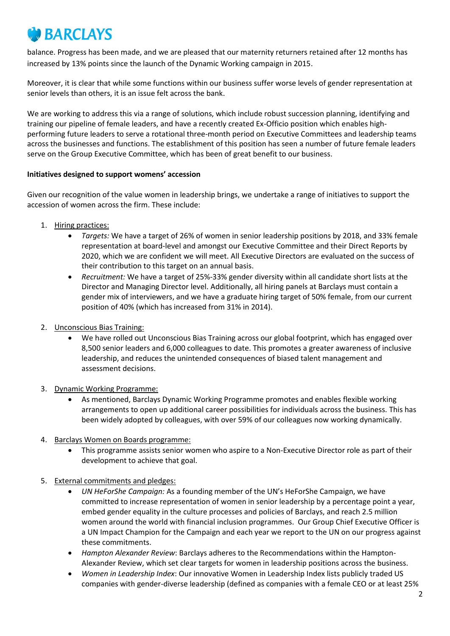# **BARCLAYS**

balance. Progress has been made, and we are pleased that our maternity returners retained after 12 months has increased by 13% points since the launch of the Dynamic Working campaign in 2015.

Moreover, it is clear that while some functions within our business suffer worse levels of gender representation at senior levels than others, it is an issue felt across the bank.

We are working to address this via a range of solutions, which include robust succession planning, identifying and training our pipeline of female leaders, and have a recently created Ex-Officio position which enables highperforming future leaders to serve a rotational three-month period on Executive Committees and leadership teams across the businesses and functions. The establishment of this position has seen a number of future female leaders serve on the Group Executive Committee, which has been of great benefit to our business.

## **Initiatives designed to support womens' accession**

Given our recognition of the value women in leadership brings, we undertake a range of initiatives to support the accession of women across the firm. These include:

- 1. Hiring practices:
	- *Targets:* We have a target of 26% of women in senior leadership positions by 2018, and 33% female representation at board-level and amongst our Executive Committee and their Direct Reports by 2020, which we are confident we will meet. All Executive Directors are evaluated on the success of their contribution to this target on an annual basis.
	- *Recruitment:* We have a target of 25%-33% gender diversity within all candidate short lists at the Director and Managing Director level. Additionally, all hiring panels at Barclays must contain a gender mix of interviewers, and we have a graduate hiring target of 50% female, from our current position of 40% (which has increased from 31% in 2014).
- 2. Unconscious Bias Training:
	- We have rolled out Unconscious Bias Training across our global footprint, which has engaged over 8,500 senior leaders and 6,000 colleagues to date. This promotes a greater awareness of inclusive leadership, and reduces the unintended consequences of biased talent management and assessment decisions.
- 3. Dynamic Working Programme:
	- As mentioned, Barclays Dynamic Working Programme promotes and enables flexible working arrangements to open up additional career possibilities for individuals across the business. This has been widely adopted by colleagues, with over 59% of our colleagues now working dynamically.
- 4. Barclays Women on Boards programme:
	- This programme assists senior women who aspire to a Non-Executive Director role as part of their development to achieve that goal.
- 5. External commitments and pledges:
	- *UN HeForShe Campaign:* As a founding member of the UN's HeForShe Campaign, we have committed to increase representation of women in senior leadership by a percentage point a year, embed gender equality in the culture processes and policies of Barclays, and reach 2.5 million women around the world with financial inclusion programmes. Our Group Chief Executive Officer is a UN Impact Champion for the Campaign and each year we report to the UN on our progress against these commitments.
	- *Hampton Alexander Review*: Barclays adheres to the Recommendations within the Hampton-Alexander Review, which set clear targets for women in leadership positions across the business.
	- *Women in Leadership Index*: Our innovative Women in Leadership Index lists publicly traded US companies with gender-diverse leadership (defined as companies with a female CEO or at least 25%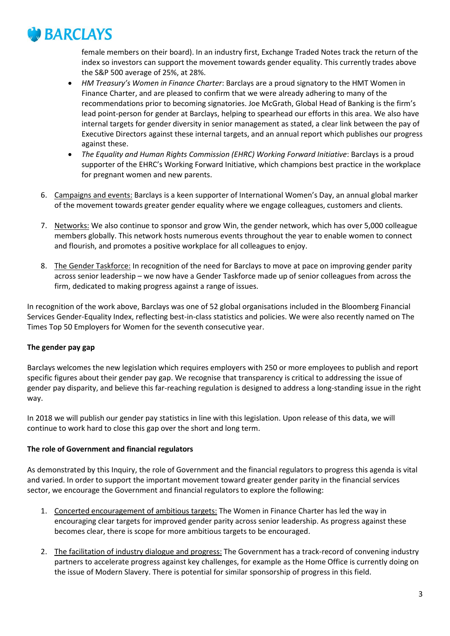

female members on their board). In an industry first, Exchange Traded Notes track the return of the index so investors can support the movement towards gender equality. This currently trades above the S&P 500 average of 25%, at 28%.

- *HM Treasury's Women in Finance Charter*: Barclays are a proud signatory to the HMT Women in Finance Charter, and are pleased to confirm that we were already adhering to many of the recommendations prior to becoming signatories. Joe McGrath, Global Head of Banking is the firm's lead point-person for gender at Barclays, helping to spearhead our efforts in this area. We also have internal targets for gender diversity in senior management as stated, a clear link between the pay of Executive Directors against these internal targets, and an annual report which publishes our progress against these.
- *The Equality and Human Rights Commission (EHRC) Working Forward Initiative*: Barclays is a proud supporter of the EHRC's Working Forward Initiative, which champions best practice in the workplace for pregnant women and new parents.
- 6. Campaigns and events: Barclays is a keen supporter of International Women's Day, an annual global marker of the movement towards greater gender equality where we engage colleagues, customers and clients.
- 7. Networks: We also continue to sponsor and grow Win, the gender network, which has over 5,000 colleague members globally. This network hosts numerous events throughout the year to enable women to connect and flourish, and promotes a positive workplace for all colleagues to enjoy.
- 8. The Gender Taskforce: In recognition of the need for Barclays to move at pace on improving gender parity across senior leadership – we now have a Gender Taskforce made up of senior colleagues from across the firm, dedicated to making progress against a range of issues.

In recognition of the work above, Barclays was one of 52 global organisations included in the Bloomberg Financial Services Gender-Equality Index, reflecting best-in-class statistics and policies. We were also recently named on The Times Top 50 Employers for Women for the seventh consecutive year.

## **The gender pay gap**

Barclays welcomes the new legislation which requires employers with 250 or more employees to publish and report specific figures about their gender pay gap. We recognise that transparency is critical to addressing the issue of gender pay disparity, and believe this far-reaching regulation is designed to address a long-standing issue in the right way.

In 2018 we will publish our gender pay statistics in line with this legislation. Upon release of this data, we will continue to work hard to close this gap over the short and long term.

## **The role of Government and financial regulators**

As demonstrated by this Inquiry, the role of Government and the financial regulators to progress this agenda is vital and varied. In order to support the important movement toward greater gender parity in the financial services sector, we encourage the Government and financial regulators to explore the following:

- 1. Concerted encouragement of ambitious targets: The Women in Finance Charter has led the way in encouraging clear targets for improved gender parity across senior leadership. As progress against these becomes clear, there is scope for more ambitious targets to be encouraged.
- 2. The facilitation of industry dialogue and progress: The Government has a track-record of convening industry partners to accelerate progress against key challenges, for example as the Home Office is currently doing on the issue of Modern Slavery. There is potential for similar sponsorship of progress in this field.